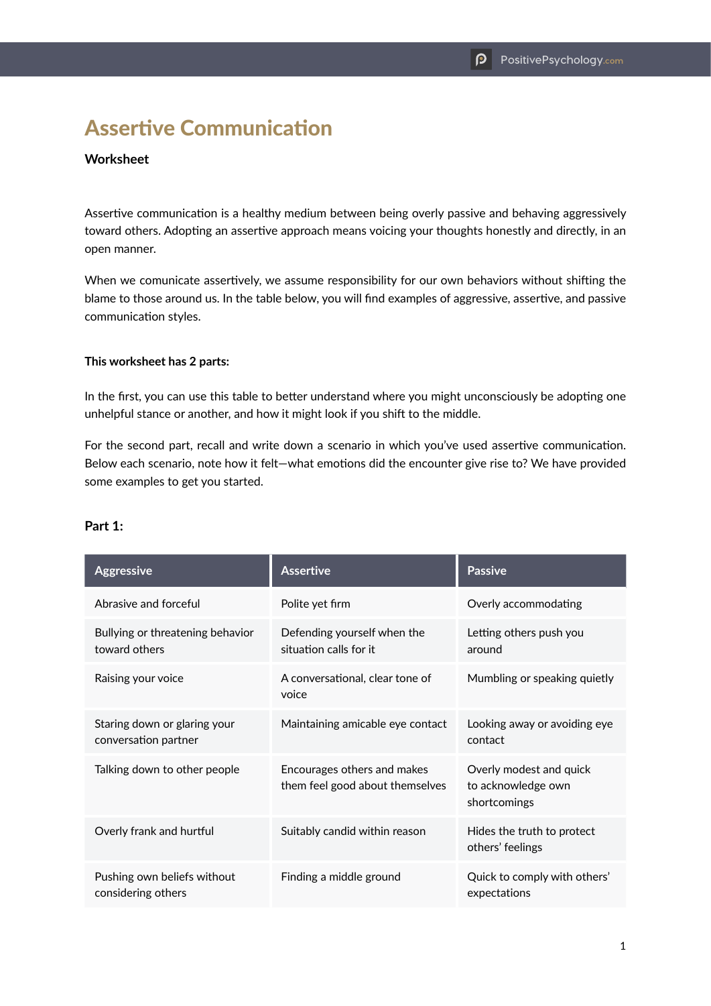# Assertive Communication

# **Worksheet**

Assertive communication is a healthy medium between being overly passive and behaving aggressively toward others. Adopting an assertive approach means voicing your thoughts honestly and directly, in an open manner.

When we comunicate assertively, we assume responsibility for our own behaviors without shifting the blame to those around us. In the table below, you will find examples of aggressive, assertive, and passive communication styles.

#### **This worksheet has 2 parts:**

In the first, you can use this table to better understand where you might unconsciously be adopting one unhelpful stance or another, and how it might look if you shift to the middle.

For the second part, recall and write down a scenario in which you've used assertive communication. Below each scenario, note how it felt—what emotions did the encounter give rise to? We have provided some examples to get you started.

| <b>Aggressive</b>                                    | <b>Assertive</b>                                               | Passive                                                       |
|------------------------------------------------------|----------------------------------------------------------------|---------------------------------------------------------------|
| Abrasive and forceful                                | Polite yet firm                                                | Overly accommodating                                          |
| Bullying or threatening behavior<br>toward others    | Defending yourself when the<br>situation calls for it          | Letting others push you<br>around                             |
| Raising your voice                                   | A conversational, clear tone of<br>voice                       | Mumbling or speaking quietly                                  |
| Staring down or glaring your<br>conversation partner | Maintaining amicable eye contact                               | Looking away or avoiding eye<br>contact                       |
| Talking down to other people                         | Encourages others and makes<br>them feel good about themselves | Overly modest and quick<br>to acknowledge own<br>shortcomings |
| Overly frank and hurtful                             | Suitably candid within reason                                  | Hides the truth to protect<br>others' feelings                |
| Pushing own beliefs without<br>considering others    | Finding a middle ground                                        | Quick to comply with others'<br>expectations                  |

### **Part 1:**